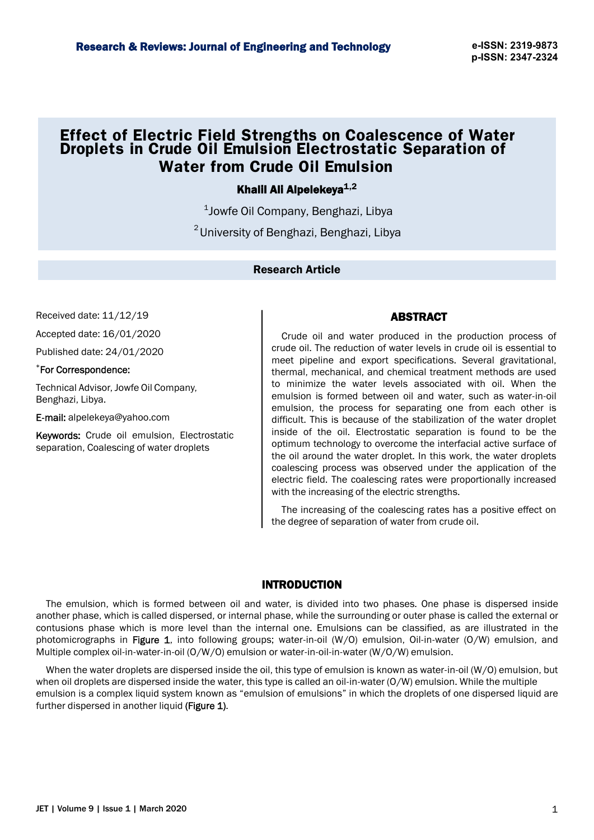# **Effect of Electric Field Strengths on Coalescence of Water Droplets in Crude Oil Emulsion Electrostatic Separation of Water from Crude Oil Emulsion**

## Khalil Ali Alpelekeya $1,2$

 $1$ Jowfe Oil Company, Benghazi, Libya  $^{2}$ University of Benghazi, Benghazi, Libya

### Research Article

Received date: 11/12/19

Accepted date: 16/01/2020

Published date: 24/01/2020

#### \*For Correspondence:

Technical Advisor, Jowfe Oil Company, Benghazi, Libya.

E-mail: alpelekeya@yahoo.com

Keywords: Crude oil emulsion, Electrostatic separation, Coalescing of water droplets

### ABSTRACT

Crude oil and water produced in the production process of crude oil. The reduction of water levels in crude oil is essential to meet pipeline and export specifications. Several gravitational, thermal, mechanical, and chemical treatment methods are used to minimize the water levels associated with oil. When the emulsion is formed between oil and water, such as water-in-oil emulsion, the process for separating one from each other is difficult. This is because of the stabilization of the water droplet inside of the oil. Electrostatic separation is found to be the optimum technology to overcome the interfacial active surface of the oil around the water droplet. In this work, the water droplets coalescing process was observed under the application of the electric field. The coalescing rates were proportionally increased with the increasing of the electric strengths.

The increasing of the coalescing rates has a positive effect on the degree of separation of water from crude oil.

# INTRODUCTION

The emulsion, which is formed between oil and water, is divided into two phases. One phase is dispersed inside another phase, which is called dispersed, or internal phase, while the surrounding or outer phase is called the external or contusions phase which is more level than the internal one. Emulsions can be classified, as are illustrated in the photomicrographs in Figure 1, into following groups; water-in-oil  $(W/O)$  emulsion, Oil-in-water  $(O/W)$  emulsion, and Multiple complex oil-in-water-in-oil (O/W/O) emulsion or water-in-oil-in-water (W/O/W) emulsion.

When the water droplets are dispersed inside the oil, this type of emulsion is known as water-in-oil (W/O) emulsion, but when oil droplets are dispersed inside the water, this type is called an oil-in-water (O/W) emulsion. While the multiple emulsion is a complex liquid system known as "emulsion of emulsions" in which the droplets of one dispersed liquid are further dispersed in another liquid (Figure 1).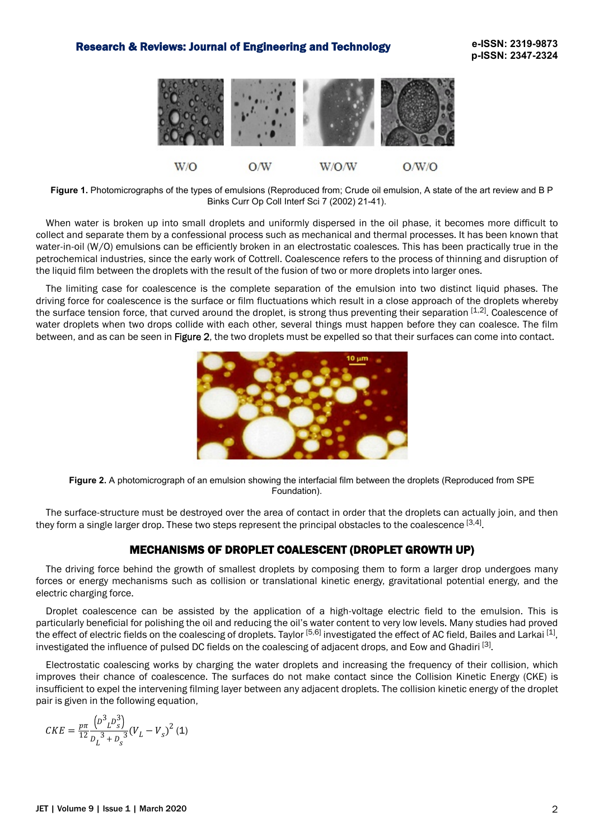### Research & Reviews: Journal of Engineering and Technology



**Figure 1.** Photomicrographs of the types of emulsions (Reproduced from; Crude oil emulsion, A state of the art review and B P Binks Curr Op Coll Interf Sci 7 (2002) 21-41).

When water is broken up into small droplets and uniformly dispersed in the oil phase, it becomes more difficult to collect and separate them by a confessional process such as mechanical and thermal processes. It has been known that water-in-oil (W/O) emulsions can be efficiently broken in an electrostatic coalesces. This has been practically true in the petrochemical industries, since the early work of Cottrell. Coalescence refers to the process of thinning and disruption of the liquid film between the droplets with the result of the fusion of two or more droplets into larger ones.

The limiting case for coalescence is the complete separation of the emulsion into two distinct liquid phases. The driving force for coalescence is the surface or film fluctuations which result in a close approach of the droplets whereby the surface tension force, that curved around the droplet, is strong thus preventing their separation [1,2]. Coalescence of water droplets when two drops collide with each other, several things must happen before they can coalesce. The film between, and as can be seen in Figure 2, the two droplets must be expelled so that their surfaces can come into contact.



**Figure 2.** A photomicrograph of an emulsion showing the interfacial film between the droplets (Reproduced from SPE Foundation).

The surface-structure must be destroyed over the area of contact in order that the droplets can actually join, and then they form a single larger drop. These two steps represent the principal obstacles to the coalescence [3,4].

# MECHANISMS OF DROPLET COALESCENT (DROPLET GROWTH UP)

The driving force behind the growth of smallest droplets by composing them to form a larger drop undergoes many forces or energy mechanisms such as collision or translational kinetic energy, gravitational potential energy, and the electric charging force.

Droplet coalescence can be assisted by the application of a high-voltage electric field to the emulsion. This is particularly beneficial for polishing the oil and reducing the oil's water content to very low levels. Many studies had proved the effect of electric fields on the coalescing of droplets. Taylor <sup>[5,6]</sup> investigated the effect of AC field, Bailes and Larkai <sup>[1]</sup>, investigated the influence of pulsed DC fields on the coalescing of adjacent drops, and Eow and Ghadiri [3].

Electrostatic coalescing works by charging the water droplets and increasing the frequency of their collision, which improves their chance of coalescence. The surfaces do not make contact since the Collision Kinetic Energy (CKE) is insufficient to expel the intervening filming layer between any adjacent droplets. The collision kinetic energy of the droplet pair is given in the following equation,

$$
CKE = \frac{p\pi}{12} \frac{\left(D^3{}_L D_s^3\right)}{D_L^3 + D_s^3} (V_L - V_s)^2 \text{ (1)}
$$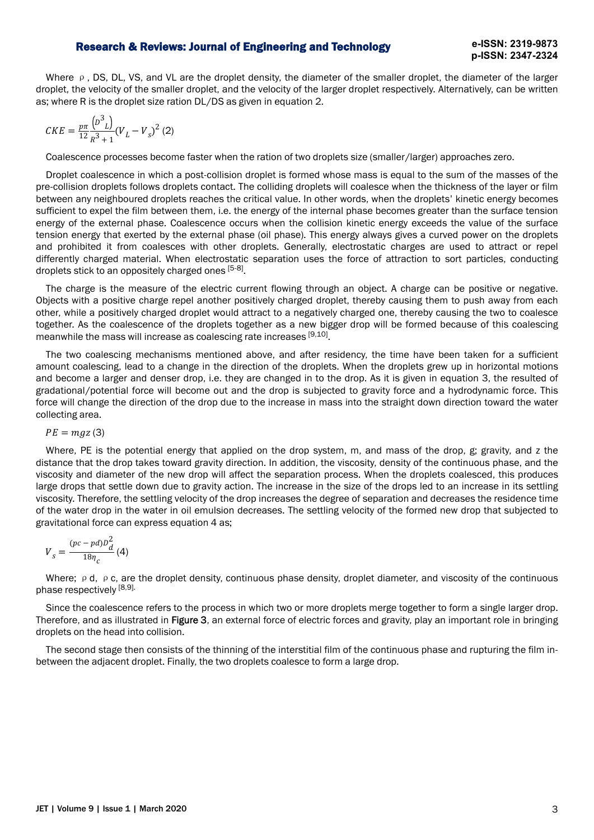#### Research & Reviews: Journal of Engineering and Technology

Where ρ, DS, DL, VS, and VL are the droplet density, the diameter of the smaller droplet, the diameter of the larger droplet, the velocity of the smaller droplet, and the velocity of the larger droplet respectively. Alternatively, can be written as; where R is the droplet size ration DL/DS as given in equation 2.

$$
CKE = \frac{p\pi}{12} \frac{(D^3_L)}{R^3 + 1} (V_L - V_s)^2 (2)
$$

Coalescence processes become faster when the ration of two droplets size (smaller/larger) approaches zero.

Droplet coalescence in which a post-collision droplet is formed whose mass is equal to the sum of the masses of the pre-collision droplets follows droplets contact. The colliding droplets will coalesce when the thickness of the layer or film between any neighboured droplets reaches the critical value. In other words, when the droplets' kinetic energy becomes sufficient to expel the film between them, i.e. the energy of the internal phase becomes greater than the surface tension energy of the external phase. Coalescence occurs when the collision kinetic energy exceeds the value of the surface tension energy that exerted by the external phase (oil phase). This energy always gives a curved power on the droplets and prohibited it from coalesces with other droplets. Generally, electrostatic charges are used to attract or repel differently charged material. When electrostatic separation uses the force of attraction to sort particles, conducting droplets stick to an oppositely charged ones [5-8].

The charge is the measure of the electric current flowing through an object. A charge can be positive or negative. Objects with a positive charge repel another positively charged droplet, thereby causing them to push away from each other, while a positively charged droplet would attract to a negatively charged one, thereby causing the two to coalesce together. As the coalescence of the droplets together as a new bigger drop will be formed because of this coalescing meanwhile the mass will increase as coalescing rate increases [9,10].

The two coalescing mechanisms mentioned above, and after residency, the time have been taken for a sufficient amount coalescing, lead to a change in the direction of the droplets. When the droplets grew up in horizontal motions and become a larger and denser drop, i.e. they are changed in to the drop. As it is given in equation 3, the resulted of gradational/potential force will become out and the drop is subjected to gravity force and a hydrodynamic force. This force will change the direction of the drop due to the increase in mass into the straight down direction toward the water collecting area.

 $PE = mgz(3)$ 

Where, PE is the potential energy that applied on the drop system, m, and mass of the drop, g; gravity, and z the distance that the drop takes toward gravity direction. In addition, the viscosity, density of the continuous phase, and the viscosity and diameter of the new drop will affect the separation process. When the droplets coalesced, this produces large drops that settle down due to gravity action. The increase in the size of the drops led to an increase in its settling viscosity. Therefore, the settling velocity of the drop increases the degree of separation and decreases the residence time of the water drop in the water in oil emulsion decreases. The settling velocity of the formed new drop that subjected to gravitational force can express equation 4 as;

$$
V_s = \frac{(pc - pd)D_d^2}{18\eta_c} \text{ (4)}
$$

Where; ρd, ρc, are the droplet density, continuous phase density, droplet diameter, and viscosity of the continuous phase respectively [8,9].

Since the coalescence refers to the process in which two or more droplets merge together to form a single larger drop. Therefore, and as illustrated in Figure 3, an external force of electric forces and gravity, play an important role in bringing droplets on the head into collision.

The second stage then consists of the thinning of the interstitial film of the continuous phase and rupturing the film inbetween the adjacent droplet. Finally, the two droplets coalesce to form a large drop.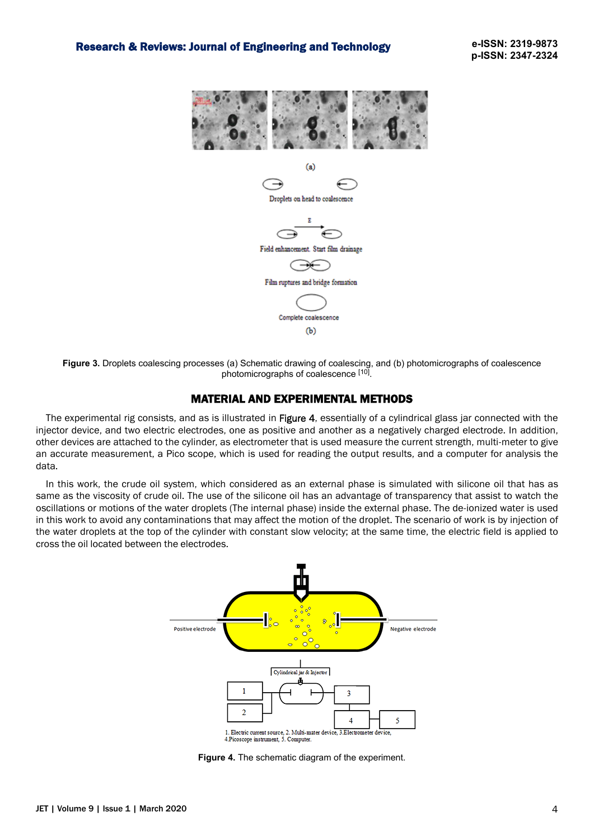

Droplets on head to coalescence



Field enhance Start film drainage

Film ruptures d bridge formation

> Complete coalescence  $(b)$

**Figure 3.** Droplets coalescing processes (a) Schematic drawing of coalescing, and (b) photomicrographs of coalescence photomicrographs of coalescence [10].

### MATERIAL AND EXPERIMENTAL METHODS

The experimental rig consists, and as is illustrated in Figure 4, essentially of a cylindrical glass jar connected with the injector device, and two electric electrodes, one as positive and another as a negatively charged electrode. In addition, other devices are attached to the cylinder, as electrometer that is used measure the current strength, multi-meter to give an accurate measurement, a Pico scope, which is used for reading the output results, and a computer for analysis the data.

In this work, the crude oil system, which considered as an external phase is simulated with silicone oil that has as same as the viscosity of crude oil. The use of the silicone oil has an advantage of transparency that assist to watch the oscillations or motions of the water droplets (The internal phase) inside the external phase. The de-ionized water is used in this work to avoid any contaminations that may affect the motion of the droplet. The scenario of work is by injection of the water droplets at the top of the cylinder with constant slow velocity; at the same time, the electric field is applied to cross the oil located between the electrodes.



**Figure 4.** The schematic diagram of the experiment.